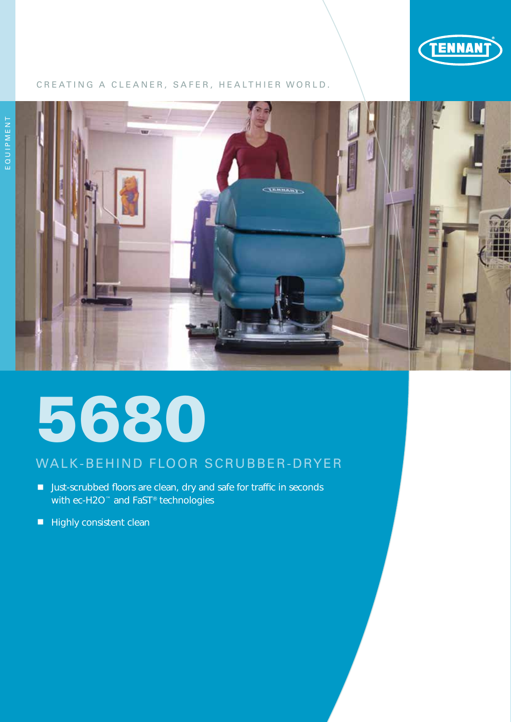

# CREATING A CLEANER, SAFER, HEALTHIER WORLD.



# 5680

# WALK-BEHIND FLOOR SCRUBBER-DRYER

- Just-scrubbed floors are clean, dry and safe for traffic in seconds with ec-H2O<sup>™</sup> and FaST<sup>®</sup> technologies
- $\blacksquare$  Highly consistent clean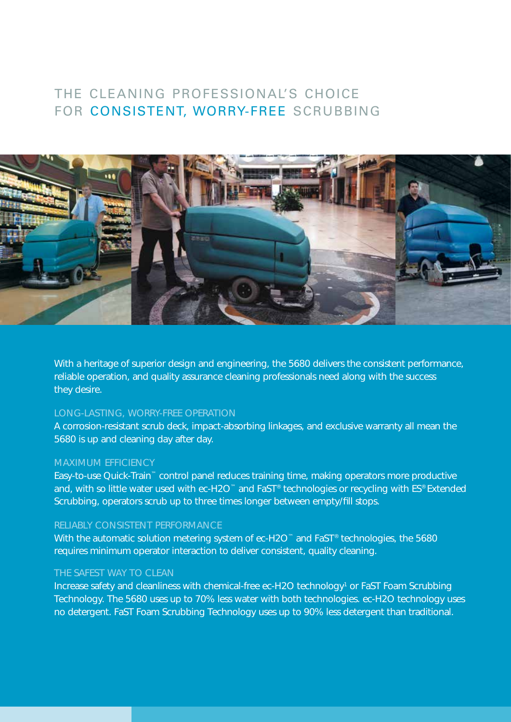# THE CLEANING PROFESSIONAL'S CHOICE FOR CONSISTENT, WORRY-FREE SCRUBBING



With a heritage of superior design and engineering, the 5680 delivers the consistent performance, reliable operation, and quality assurance cleaning professionals need along with the success they desire.

# LONG-LASTING, WORRY-FREE OPERATION

A corrosion-resistant scrub deck, impact-absorbing linkages, and exclusive warranty all mean the 5680 is up and cleaning day after day.

#### MAXIMUM EFFICIENCY

Easy-to-use Quick-Train™ control panel reduces training time, making operators more productive and, with so little water used with ec-H2O™ and FaST® technologies or recycling with ES® Extended Scrubbing, operators scrub up to three times longer between empty/fill stops.

## RELIABLY CONSISTENT PERFORMANCE

With the automatic solution metering system of ec-H2O™ and FaST® technologies, the 5680 requires minimum operator interaction to deliver consistent, quality cleaning.

## THE SAFEST WAY TO CLEAN

Increase safety and cleanliness with chemical-free ec-H2O technology<sup>1</sup> or FaST Foam Scrubbing Technology. The 5680 uses up to 70% less water with both technologies. ec-H2O technology uses no detergent. FaST Foam Scrubbing Technology uses up to 90% less detergent than traditional.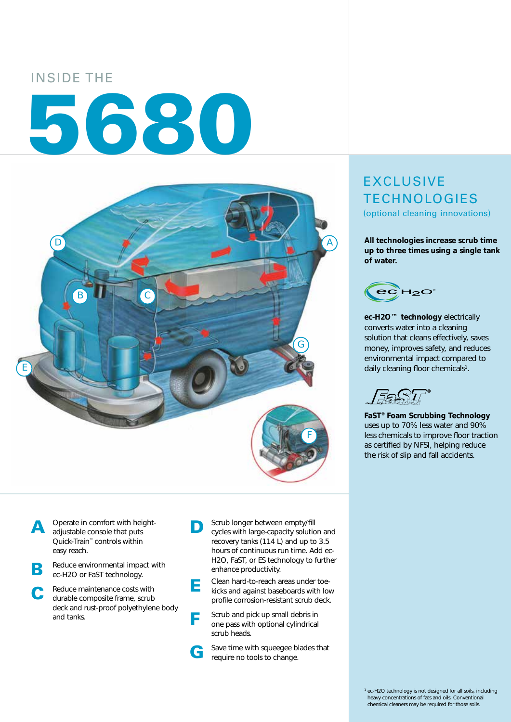# INSIDE THE 5680



A Operate in comfort with height-<br>adjustable console that puts Quick-Train™ controls within easy reach.

- Reduce environmental impact with ec-H2O or FaST technology.
- C Reduce maintenance costs with durable composite frame, scrub deck and rust-proof polyethylene body and tanks.
- **D** Scrub longer between empty/fill<br>cycles with large-capacity solution and recovery tanks (114 L) and up to 3.5 hours of continuous run time. Add ec-H2O, FaST, or ES technology to further enhance productivity.



- **F** Scrub and pick up small debris in one pass with optional cylindrical scrub heads.
	- Save time with squeegee blades that require no tools to change.

# EXCLUSIVE **TECHNOLOGIES** (optional cleaning innovations)

**All technologies increase scrub time up to three times using a single tank of water.**



**ec-H2O™ technology** electrically converts water into a cleaning solution that cleans effectively, saves money, improves safety, and reduces environmental impact compared to daily cleaning floor chemicals<sup>1</sup>.

**FaST® Foam Scrubbing Technology** uses up to 70% less water and 90% less chemicals to improve floor traction as certified by NFSI, helping reduce the risk of slip and fall accidents.